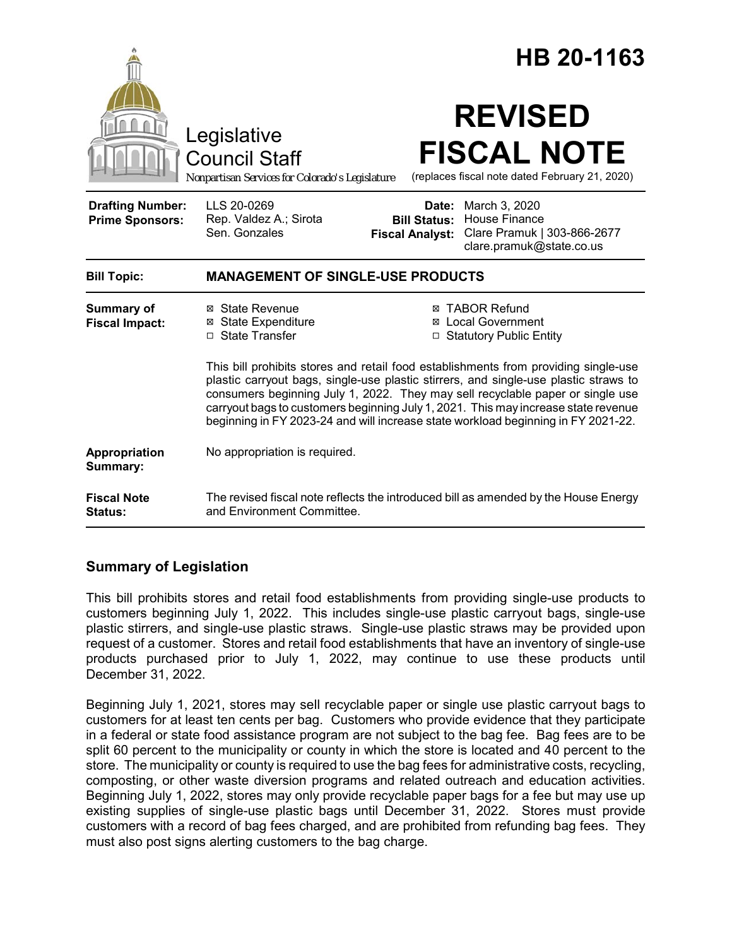|                                                   |                                                                                                                                                                                                                                                                                                                                                                                                                                          | HB 20-1163                                                                                                                                                     |  |
|---------------------------------------------------|------------------------------------------------------------------------------------------------------------------------------------------------------------------------------------------------------------------------------------------------------------------------------------------------------------------------------------------------------------------------------------------------------------------------------------------|----------------------------------------------------------------------------------------------------------------------------------------------------------------|--|
|                                                   | Legislative<br><b>Council Staff</b><br>Nonpartisan Services for Colorado's Legislature                                                                                                                                                                                                                                                                                                                                                   | <b>REVISED</b><br><b>FISCAL NOTE</b><br>(replaces fiscal note dated February 21, 2020)                                                                         |  |
| <b>Drafting Number:</b><br><b>Prime Sponsors:</b> | LLS 20-0269<br>Rep. Valdez A.; Sirota<br>Sen. Gonzales                                                                                                                                                                                                                                                                                                                                                                                   | <b>Date:</b> March 3, 2020<br><b>House Finance</b><br><b>Bill Status:</b><br>Clare Pramuk   303-866-2677<br><b>Fiscal Analyst:</b><br>clare.pramuk@state.co.us |  |
| <b>Bill Topic:</b>                                | <b>MANAGEMENT OF SINGLE-USE PRODUCTS</b>                                                                                                                                                                                                                                                                                                                                                                                                 |                                                                                                                                                                |  |
| Summary of<br><b>Fiscal Impact:</b>               | ⊠ State Revenue<br><b>⊠</b> State Expenditure<br>□ State Transfer                                                                                                                                                                                                                                                                                                                                                                        | <b>⊠ TABOR Refund</b><br>⊠ Local Government<br>□ Statutory Public Entity                                                                                       |  |
|                                                   | This bill prohibits stores and retail food establishments from providing single-use<br>plastic carryout bags, single-use plastic stirrers, and single-use plastic straws to<br>consumers beginning July 1, 2022. They may sell recyclable paper or single use<br>carryout bags to customers beginning July 1, 2021. This may increase state revenue<br>beginning in FY 2023-24 and will increase state workload beginning in FY 2021-22. |                                                                                                                                                                |  |
| Appropriation<br>Summary:                         | No appropriation is required.                                                                                                                                                                                                                                                                                                                                                                                                            |                                                                                                                                                                |  |
| <b>Fiscal Note</b><br><b>Status:</b>              | The revised fiscal note reflects the introduced bill as amended by the House Energy<br>and Environment Committee.                                                                                                                                                                                                                                                                                                                        |                                                                                                                                                                |  |

# **Summary of Legislation**

This bill prohibits stores and retail food establishments from providing single-use products to customers beginning July 1, 2022. This includes single-use plastic carryout bags, single-use plastic stirrers, and single-use plastic straws. Single-use plastic straws may be provided upon request of a customer. Stores and retail food establishments that have an inventory of single-use products purchased prior to July 1, 2022, may continue to use these products until December 31, 2022.

Beginning July 1, 2021, stores may sell recyclable paper or single use plastic carryout bags to customers for at least ten cents per bag. Customers who provide evidence that they participate in a federal or state food assistance program are not subject to the bag fee. Bag fees are to be split 60 percent to the municipality or county in which the store is located and 40 percent to the store. The municipality or county is required to use the bag fees for administrative costs, recycling, composting, or other waste diversion programs and related outreach and education activities. Beginning July 1, 2022, stores may only provide recyclable paper bags for a fee but may use up existing supplies of single-use plastic bags until December 31, 2022. Stores must provide customers with a record of bag fees charged, and are prohibited from refunding bag fees. They must also post signs alerting customers to the bag charge.